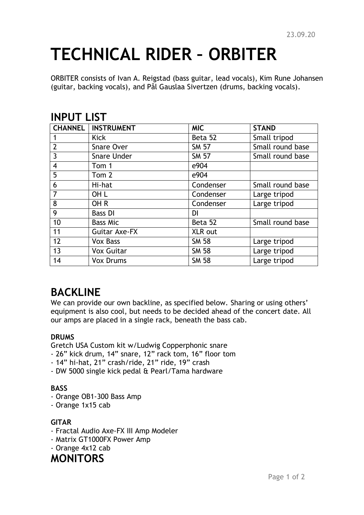# **TECHNICAL RIDER – ORBITER**

ORBITER consists of Ivan A. Reigstad (bass guitar, lead vocals), Kim Rune Johansen (guitar, backing vocals), and Pål Gauslaa Sivertzen (drums, backing vocals).

### **INPUT LIST**

|                         | <b>CHANNEL   INSTRUMENT</b> | <b>MIC</b>   | <b>STAND</b>     |
|-------------------------|-----------------------------|--------------|------------------|
|                         | <b>Kick</b>                 | Beta 52      | Small tripod     |
| $\overline{2}$          | Snare Over                  | <b>SM 57</b> | Small round base |
| 3                       | <b>Snare Under</b>          | <b>SM 57</b> | Small round base |
| $\overline{\mathbf{4}}$ | Tom 1                       | e904         |                  |
| 5                       | Tom 2                       | e904         |                  |
| 6                       | Hi-hat                      | Condenser    | Small round base |
| $\overline{7}$          | OH L                        | Condenser    | Large tripod     |
| 8                       | OH <sub>R</sub>             | Condenser    | Large tripod     |
| 9                       | <b>Bass DI</b>              | DI           |                  |
| 10                      | <b>Bass Mic</b>             | Beta 52      | Small round base |
| 11                      | Guitar Axe-FX               | XLR out      |                  |
| 12                      | <b>Vox Bass</b>             | <b>SM 58</b> | Large tripod     |
| 13                      | <b>Vox Guitar</b>           | <b>SM 58</b> | Large tripod     |
| 14                      | <b>Vox Drums</b>            | <b>SM 58</b> | Large tripod     |

# **BACKLINE**

We can provide our own backline, as specified below. Sharing or using others' equipment is also cool, but needs to be decided ahead of the concert date. All our amps are placed in a single rack, beneath the bass cab.

#### **DRUMS**

Gretch USA Custom kit w/Ludwig Copperphonic snare

- 26" kick drum, 14" snare, 12" rack tom, 16" floor tom
- 14" hi-hat, 21" crash/ride, 21" ride, 19" crash
- DW 5000 single kick pedal & Pearl/Tama hardware

#### **BASS**

- Orange OB1-300 Bass Amp
- Orange 1x15 cab

#### **GITAR**

- Fractal Audio Axe-FX III Amp Modeler
- Matrix GT1000FX Power Amp
- Orange 4x12 cab

## **MONITORS**